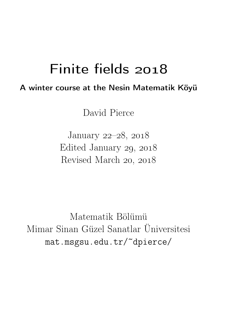## Finite fields

## A winter course at the Nesin Matematik Köyü

David Pierce

January 22-28, 2018 Edited January  $29, 2018$ Revised March 20, 2018

Matematik Bölümü Mimar Sinan Güzel Sanatlar Üniversitesi mat.msgsu.edu.tr/~dpierce/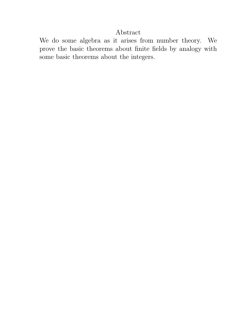### Abstract

We do some algebra as it arises from number theory. We prove the basic theorems about finite fields by analogy with some basic theorems about the integers.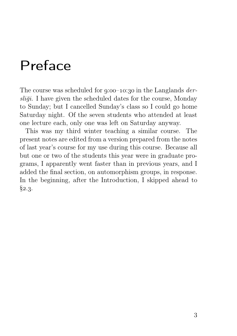## Preface

The course was scheduled for  $q:00-10:30$  in the Langlands *der*sliği. I have given the scheduled dates for the course, Monday to Sunday; but I cancelled Sunday's class so I could go home Saturday night. Of the seven students who attended at least one lecture each, only one was left on Saturday anyway.

This was my third winter teaching a similar course. The present notes are edited from a version prepared from the notes of last year's course for my use during this course. Because all but one or two of the students this year were in graduate programs, I apparently went faster than in previous years, and I added the final section, on automorphism groups, in response. In the beginning, after the Introduction, I skipped ahead to  $§2.3.$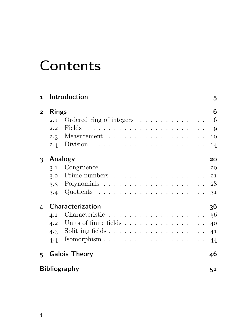# **Contents**

| $\mathbf{1}$   | Introduction                                                                                                                                                                                                                                                                                                                                                                                                                                                                                          | 5  |
|----------------|-------------------------------------------------------------------------------------------------------------------------------------------------------------------------------------------------------------------------------------------------------------------------------------------------------------------------------------------------------------------------------------------------------------------------------------------------------------------------------------------------------|----|
| $\overline{2}$ | <b>Rings</b>                                                                                                                                                                                                                                                                                                                                                                                                                                                                                          | 6  |
|                | Ordered ring of integers<br>2.1                                                                                                                                                                                                                                                                                                                                                                                                                                                                       | 6  |
|                | Fields<br>$\label{eq:2} \begin{split} \mathcal{L}_{\mathcal{A}}(\mathcal{A}) &\cong \mathcal{L}_{\mathcal{A}}(\mathcal{A})\mathcal{L}_{\mathcal{A}}(\mathcal{A})\mathcal{L}_{\mathcal{A}}(\mathcal{A})\mathcal{L}_{\mathcal{A}}(\mathcal{A})\mathcal{L}_{\mathcal{A}}(\mathcal{A})\mathcal{L}_{\mathcal{A}}(\mathcal{A})\mathcal{L}_{\mathcal{A}}(\mathcal{A})\mathcal{L}_{\mathcal{A}}(\mathcal{A})\mathcal{L}_{\mathcal{A}}(\mathcal{A})\mathcal{L}_{\mathcal{A}}(\mathcal{A})\mathcal{L}_{$<br>2.2 | 9  |
|                |                                                                                                                                                                                                                                                                                                                                                                                                                                                                                                       | 10 |
|                | Division $\ldots \ldots \ldots \ldots \ldots \ldots \ldots$<br>2.4                                                                                                                                                                                                                                                                                                                                                                                                                                    | 14 |
| 3              | Analogy                                                                                                                                                                                                                                                                                                                                                                                                                                                                                               | 20 |
|                | $Congruence \dots \dots \dots \dots \dots \dots \dots \dots$<br>3.1                                                                                                                                                                                                                                                                                                                                                                                                                                   | 20 |
|                | 3.2                                                                                                                                                                                                                                                                                                                                                                                                                                                                                                   | 21 |
|                | 3.3                                                                                                                                                                                                                                                                                                                                                                                                                                                                                                   | 28 |
|                | 3.4                                                                                                                                                                                                                                                                                                                                                                                                                                                                                                   | 31 |
| 4              | <b>Characterization</b>                                                                                                                                                                                                                                                                                                                                                                                                                                                                               | 36 |
|                | Characteristic $\ldots \ldots \ldots \ldots \ldots \ldots \ldots 36$<br>4.1                                                                                                                                                                                                                                                                                                                                                                                                                           |    |
|                | Units of finite fields<br>4.2                                                                                                                                                                                                                                                                                                                                                                                                                                                                         | 40 |
|                | Splitting fields $\ldots \ldots \ldots \ldots \ldots \ldots$<br>4.3                                                                                                                                                                                                                                                                                                                                                                                                                                   | 41 |
|                | Isomorphism $\ldots \ldots \ldots \ldots \ldots \ldots \ldots$<br>4.4                                                                                                                                                                                                                                                                                                                                                                                                                                 | 44 |
| 5.             | <b>Galois Theory</b>                                                                                                                                                                                                                                                                                                                                                                                                                                                                                  | 46 |
|                | <b>Bibliography</b>                                                                                                                                                                                                                                                                                                                                                                                                                                                                                   | 51 |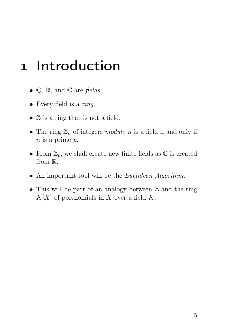## 1 Introduction

- $\mathbb{Q}$ ,  $\mathbb{R}$ , and  $\mathbb{C}$  are fields.
- Every field is a *ring*.
- $\mathbb Z$  is a ring that is not a field.
- The ring  $\mathbb{Z}_n$  of integers modulo n is a field if and only if  $n$  is a prime  $p$ .
- From  $\mathbb{Z}_p$ , we shall create new finite fields as  $\mathbb C$  is created from R.
- An important tool will be the *Euclidean Algorithm*.
- This will be part of an analogy between  $\mathbb Z$  and the ring  $K[X]$  of polynomials in X over a field K.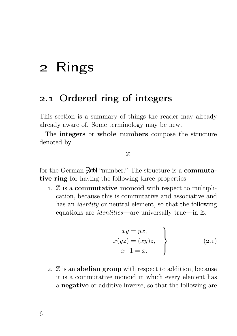## 2 Rings

### 2.1 Ordered ring of integers

This section is a summary of things the reader may already already aware of. Some terminology may be new.

The integers or whole numbers compose the structure denoted by

 $\mathbb{Z}$ 

for the German  $\partial \phi$  "number." The structure is a **commuta**tive ring for having the following three properties.

1.  $\mathbb Z$  is a **commutative monoid** with respect to multiplication, because this is commutative and associative and has an *identity* or neutral element, so that the following equations are *identities*—are universally true—in  $\mathbb{Z}$ :

$$
xy = yx,
$$
  
\n
$$
x(yz) = (xy)z,
$$
  
\n
$$
x \cdot 1 = x.
$$
\n(2.1)

2.  $\mathbb Z$  is an **abelian group** with respect to addition, because it is a commutative monoid in which every element has a negative or additive inverse, so that the following are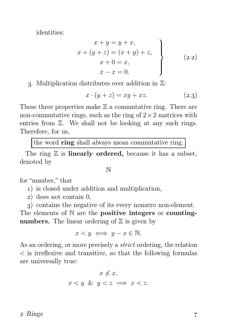identities:

$$
x + y = y + x,\nx + (y + z) = (x + y) + z,\nx + 0 = x,\nx - x = 0.
$$
\n(2.2)

#### . Multiplication distributes over addition in Z:

$$
x \cdot (y + z) = xy + xz. \tag{2.3}
$$

These three properties make  $\mathbb Z$  a commutative ring. There are non-commutative rings, such as the ring of  $2 \times 2$  matrices with entries from Z. We shall not be looking at any such rings. Therefore, for us,

the word ring shall always mean commutative ring.

The ring  $\mathbb Z$  is **linearly ordered**, because it has a subset, denoted by

N

for "number," that

- ) is closed under addition and multiplication,
- ) does not contain 0,
- ) contains the negative of its every nonzero non-element.

The elements of  $N$  are the **positive integers** or **counting**numbers. The linear ordering of  $\mathbb Z$  is given by

$$
x < y \iff y - x \in \mathbb{N}.
$$

As an ordering, or more precisely a strict ordering, the relation  $\leq$  is irreflexive and transitive, so that the following formulas are universally true:

$$
x \nless x,
$$
  

$$
x < y \& y < z \implies x < z.
$$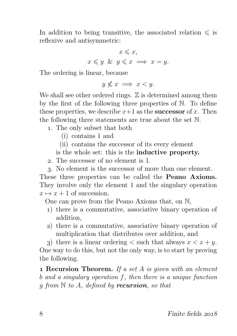In addition to being transitive, the associated relation  $\leq$  is reflexive and antisymmetric:

$$
x \leqslant x,
$$
  

$$
x \leqslant y \& y \leqslant x \implies x = y.
$$

The ordering is linear, because

 $y \nleq x \implies x < y$ .

We shall see other ordered rings.  $\mathbb Z$  is determined among them by the first of the following three properties of N. To define these properties, we describe  $x+1$  as the **successor** of x. Then the following three statements are true about the set N.

- . The only subset that both
	- (i) contains 1 and
	- (ii) contains the successor of its every element

is the whole set: this is the inductive property.

- . The successor of no element is 1.
- . No element is the successor of more than one element.

These three properties can be called the **Peano Axioms.** They involve only the element 1 and the singulary operation  $x \mapsto x + 1$  of succession.

One can prove from the Peano Axioms that, on N,

- ) there is a commutative, associative binary operation of addition,
- ) there is a commutative, associative binary operation of multiplication that distributes over addition, and

3) there is a linear ordering  $\lt$  such that always  $x \lt x + y$ . One way to do this, but not the only way, is to start by proving the following.

**1 Recursion Theorem.** If a set  $A$  is given with an element b and a singulary operation f, then there is a unique function q from  $\mathbb N$  to A, defined by **recursion**, so that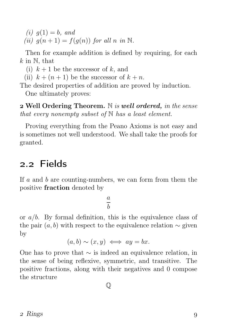(*i*)  $q(1) = b$ , and (ii)  $q(n+1) = f(q(n))$  for all n in N.

Then for example addition is defined by requiring, for each  $k$  in  $\mathbb{N}$ , that

- (i)  $k+1$  be the successor of k, and
- (ii)  $k + (n + 1)$  be the successor of  $k + n$ .
- The desired properties of addition are proved by induction. One ultimately proves:

 $2$  Well Ordering Theorem. N is well ordered, in the sense that every nonempty subset of  $\mathbb N$  has a least element.

Proving everything from the Peano Axioms is not easy and is sometimes not well understood. We shall take the proofs for granted.

## 2.2 Fields

If  $a$  and  $b$  are counting-numbers, we can form from them the positive fraction denoted by

> a b

or  $a/b$ . By formal definition, this is the equivalence class of the pair  $(a, b)$  with respect to the equivalence relation  $\sim$  given by

$$
(a, b) \sim (x, y) \iff ay = bx.
$$

One has to prove that  $\sim$  is indeed an equivalence relation, in the sense of being reflexive, symmetric, and transitive. The positive fractions, along with their negatives and 0 compose the structure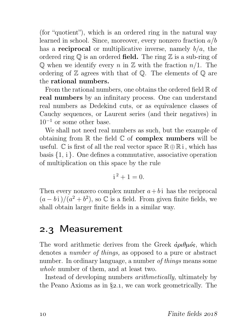(for "quotient"), which is an ordered ring in the natural way learned in school. Since, moreover, every nonzero fraction  $a/b$ has a **reciprocal** or multiplicative inverse, namely  $b/a$ , the ordered ring  $\mathbb Q$  is an ordered field. The ring  $\mathbb Z$  is a sub-ring of  $\mathbb Q$  when we identify every n in  $\mathbb Z$  with the fraction  $n/1$ . The ordering of  $\mathbb Z$  agrees with that of  $\mathbb Q$ . The elements of  $\mathbb Q$  are the rational numbers.

From the rational numbers, one obtains the ordered field  $\mathbb R$  of real numbers by an infinitary process. One can understand real numbers as Dedekind cuts, or as equivalence classes of Cauchy sequences, or Laurent series (and their negatives) in  $10^{-1}$  or some other base.

We shall not need real numbers as such, but the example of obtaining from  $\mathbb R$  the field  $\mathbb C$  of **complex numbers** will be useful.  $\mathbb C$  is first of all the real vector space  $\mathbb R \oplus \mathbb R$  i, which has basis  $\{1, i\}$ . One defines a commutative, associative operation of multiplication on this space by the rule

$$
i^2 + 1 = 0.
$$

Then every nonzero complex number  $a + bi$  has the reciprocal  $(a - bi)/(a^2 + b^2)$ , so  $\mathbb C$  is a field. From given finite fields, we shall obtain larger finite fields in a similar way.

## 2.3 Measurement

The word arithmetic derives from the Greek  $\dot{a}$ ριθμός, which denotes a number of things, as opposed to a pure or abstract number. In ordinary language, a number of things means some whole number of them, and at least two.

Instead of developing numbers arithmetically, ultimately by the Peano Axioms as in  $\S$ 2.1, we can work geometrically. The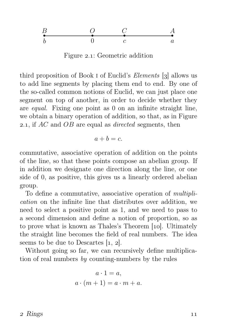$$
\begin{array}{cccc}\nB & O & C & A \\
\hline\nb & 0 & c & a\n\end{array}
$$

Figure 2.1: Geometric addition

third proposition of Book I of Euclid's *Elements*  $\left[3\right]$  allows us to add line segments by placing them end to end. By one of the so-called common notions of Euclid, we can just place one segment on top of another, in order to decide whether they are equal. Fixing one point as 0 on an infinite straight line, we obtain a binary operation of addition, so that, as in Figure 2.1, if  $AC$  and  $OB$  are equal as *directed* segments, then

$$
a+b=c.
$$

commutative, associative operation of addition on the points of the line, so that these points compose an abelian group. If in addition we designate one direction along the line, or one side of 0, as positive, this gives us a linearly ordered abelian group.

To define a commutative, associative operation of multiplication on the infinite line that distributes over addition, we need to select a positive point as 1, and we need to pass to a second dimension and define a notion of proportion, so as to prove what is known as Thales's Theorem [10]. Ultimately the straight line becomes the field of real numbers. The idea seems to be due to Descartes  $[1, 2]$ .

Without going so far, we can recursively define multiplication of real numbers  $by$  counting-numbers by the rules

$$
a \cdot 1 = a,
$$
  

$$
a \cdot (m+1) = a \cdot m + a.
$$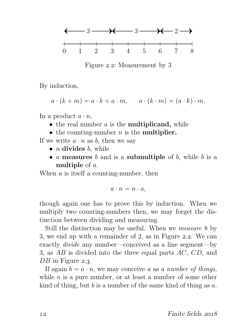

Figure 2.2: Measurement by 3

By induction,

 $a \cdot (k+m) = a \cdot k + a \cdot m$ ,  $a \cdot (k \cdot m) = (a \cdot k) \cdot m$ .

In a product  $a \cdot n$ ,

- $\bullet$  the real number  $a$  is the **multiplicand**, while
- the counting-number  $n$  is the **multiplier.**

If we write  $a \cdot n$  as b, then we say

- $n$  divides  $b$ , while
- $a$  measures  $b$  and is a submultiple of  $b$ , while  $b$  is a multiple of a.

When  $a$  is itself a counting-number, then

$$
a\cdot n=n\cdot a,
$$

though again one has to prove this by induction. When we multiply two counting-numbers then, we may forget the distinction between dividing and measuring.

Still the distinction may be useful. When we measure 8 by 3, we end up with a remainder of 2, as in Figure  $2.2$ . We can exactly divide any number—conceived as a line segment—by 3, as AB is divided into the three equal parts AC, CD, and DB in Figure 2.3.

If again  $b = a \cdot n$ , we may conceive a as a number of things, while  $n$  is a pure number, or at least a number of some other kind of thing, but b is a number of the same kind of thing as  $a$ .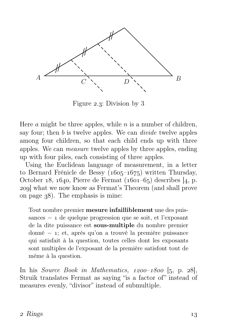

Figure 2.3: Division by  $3$ 

Here  $\alpha$  might be three apples, while  $n$  is a number of children, say four; then b is twelve apples. We can *divide* twelve apples among four children, so that each child ends up with three apples. We can measure twelve apples by three apples, ending up with four piles, each consisting of three apples.

Using the Euclidean language of measurement, in a letter to Bernard Frénicle de Bessy  $(1605-1675)$  written Thursday, October 18, 1640, Pierre de Fermat  $(1601-65)$  describes [4, p. ] what we now know as Fermat's Theorem (and shall prove on page  $38$ ). The emphasis is mine:

Tout nombre premier mesure infailliblement une des puissances − 1 de quelque progression que se soit, et l'exposant de la dite puissance est sous-multiple du nombre premier donné − ; et, après qu'on a trouvé la première puissance qui satisfait à la question, toutes celles dont les exposants sont multiples de l'exposant de la première satisfont tout de mème à la question.

In his Source Book in Mathematics,  $1200-1800$  [5, p. 28], Struik translates Fermat as saying "is a factor of" instead of measures evenly, "divisor" instead of submultiple.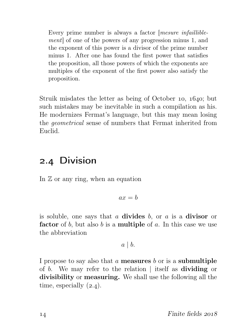Every prime number is always a factor *mesure infaillible*ment] of one of the powers of any progression minus 1, and the exponent of this power is a divisor of the prime number minus 1. After one has found the first power that satisfies the proposition, all those powers of which the exponents are multiples of the exponent of the first power also satisfy the proposition.

Struik misdates the letter as being of October 10,  $1640$ ; but such mistakes may be inevitable in such a compilation as his. He modernizes Fermat's language, but this may mean losing the geometrical sense of numbers that Fermat inherited from Euclid.

## 2.4 Division

In  $\mathbb Z$  or any ring, when an equation

$$
ax = b
$$

is soluble, one says that  $a$  divides  $b$ , or  $a$  is a divisor or factor of b, but also b is a **multiple** of a. In this case we use the abbreviation

$$
a \mid b
$$
.

I propose to say also that  $a$  measures  $b$  or is a submultiple of b. We may refer to the relation | itself as dividing or divisibility or measuring. We shall use the following all the time, especially  $(2.4)$ .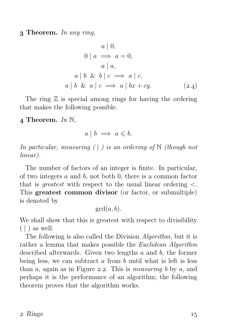**3 Theorem.** In any ring,

$$
a | 0,
$$
  
\n
$$
0 | a \implies a = 0,
$$
  
\n
$$
a | a,
$$
  
\n
$$
a | b \& b | c \implies a | c,
$$
  
\n
$$
a | b \& a | c \implies a | bx + cy.
$$
  
\n(2.4)

The ring  $\mathbb Z$  is special among rings for having the ordering that makes the following possible.

 $\Delta$  Theorem. In N.

$$
a \mid b \implies a \leqslant b.
$$

In particular, measuring  $( \cdot )$  is an ordering of N (though not linear).

The number of factors of an integer is finite. In particular, of two integers a and b, not both 0, there is a common factor that is *greatest* with respect to the usual linear ordering  $\lt$ . This greatest common divisor (or factor, or submultiple) is denoted by

 $gcd(a, b)$ .

We shall show that this is greatest with respect to divisibility  $( | )$  as well.

The following is also called the Division *Algorithm*, but it is rather a lemma that makes possible the Euclidean Algorithm described afterwards. Given two lengths a and b, the former being less, we can subtract  $\alpha$  from  $\bar{b}$  until what is left is less than  $a$ , again as in Figure 2.2. This is *measuring b* by  $a$ , and perhaps it is the performance of an algorithm; the following theorem proves that the algorithm works.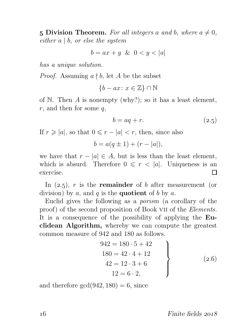5 Division Theorem. For all integers a and b, where  $a \neq 0$ , either  $a \mid b$ , or else the system

$$
b = ax + y \& 0 < y < |a|
$$

has a unique solution.

*Proof.* Assuming  $a \nmid b$ , let A be the subset

 ${b - ax : x \in \mathbb{Z}} \cap \mathbb{N}$ 

of  $\mathbb N$ . Then  $A$  is nonempty (why?); so it has a least element,  $r$ , and then for some  $q$ ,

$$
b = aq + r.\t\t(2.5)
$$

If  $r \geqslant |a|$ , so that  $0 \leqslant r - |a| < r$ , then, since also

$$
b = a(q \pm 1) + (r - |a|),
$$

we have that  $r - |a| \in A$ , but is less than the least element, which is absurd. Therefore  $0 \le r < |a|$ . Uniqueness is an exercise. exercise.

In  $(2.5)$ , r is the **remainder** of b after measurement (or division) by  $a$ , and  $q$  is the **quotient** of  $b$  by  $a$ .

Euclid gives the following as a porism (a corollary of the proof) of the second proposition of Book VII of the Elements. It is a consequence of the possibility of applying the Euclidean Algorithm, whereby we can compute the greatest common measure of 942 and 180 as follows.

$$
942 = 180 \cdot 5 + 42 \n180 = 42 \cdot 4 + 12 \n42 = 12 \cdot 3 + 6 \n12 = 6 \cdot 2,
$$
\n(2.6)

and therefore  $gcd(942, 180) = 6$ , since

16 Finite fields 2018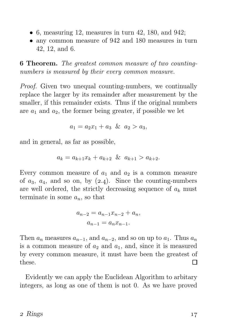- 6, measuring 12, measures in turn 42, 180, and 942;
- any common measure of 942 and 180 measures in turn 42, 12, and 6.

 Theorem. The greatest common measure of two countingnumbers is measured by their every common measure.

Proof. Given two unequal counting-numbers, we continually replace the larger by its remainder after measurement by the smaller, if this remainder exists. Thus if the original numbers are  $a_1$  and  $a_2$ , the former being greater, if possible we let

$$
a_1 = a_2 x_1 + a_3 \& a_2 > a_3,
$$

and in general, as far as possible,

$$
a_k = a_{k+1}x_k + a_{k+2} \& a_{k+1} > a_{k+2}.
$$

Every common measure of  $a_1$  and  $a_2$  is a common measure of  $a_3$ ,  $a_4$ , and so on, by  $(2.4)$ . Since the counting-numbers are well ordered, the strictly decreasing sequence of  $a_k$  must terminate in some  $a_n$ , so that

$$
a_{n-2} = a_{n-1}x_{n-2} + a_n,
$$
  

$$
a_{n-1} = a_nx_{n-1}.
$$

Then  $a_n$  measures  $a_{n-1}$ , and  $a_{n-2}$ , and so on up to  $a_1$ . Thus  $a_n$ is a common measure of  $a_2$  and  $a_1$ , and, since it is measured by every common measure, it must have been the greatest of these. П

Evidently we can apply the Euclidean Algorithm to arbitary integers, as long as one of them is not 0. As we have proved

#### $2 \text{ Rings}$   $17$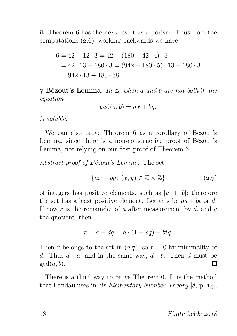it, Theorem 6 has the next result as a porism. Thus from the computations  $(2.6)$ , working backwards we have

$$
6 = 42 - 12 \cdot 3 = 42 - (180 - 42 \cdot 4) \cdot 3
$$
  
= 42 \cdot 13 - 180 \cdot 3 = (942 - 180 \cdot 5) \cdot 13 - 180 \cdot 3  
= 942 \cdot 13 - 180 \cdot 68.

**7 Bézout's Lemma.** In  $\mathbb{Z}$ , when a and b are not both 0, the equation

$$
\gcd(a, b) = ax + by.
$$

is soluble.

We can also prove Theorem 6 as a corollary of Bézout's Lemma, since there is a non-constructive proof of Bézout's Lemma, not relying on our first proof of Theorem 6.

Abstract proof of Bézout's Lemma. The set

$$
\{ax + by: (x, y) \in \mathbb{Z} \times \mathbb{Z}\}\tag{2.7}
$$

of integers has positive elements, such as  $|a| + |b|$ ; therefore the set has a least positive element. Let this be  $as + bt$  or d. If now r is the remainder of a after measurement by  $d$ , and  $q$ the quotient, then

$$
r = a - dq = a \cdot (1 - sq) - btq.
$$

Then r belongs to the set in (2.7), so  $r = 0$  by minimality of d. Thus  $d | a$ , and in the same way,  $d | b$ . Then d must be  $gcd(a, b)$ .  $gcd(a, b)$ .

There is a third way to prove Theorem 6. It is the method that Landau uses in his *Elementary Number Theory*  $[8, p. 14]$ ,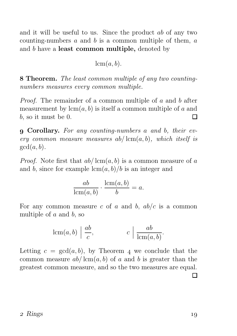and it will be useful to us. Since the product ab of any two counting-numbers  $a$  and  $b$  is a common multiple of them,  $a$ and b have a least common multiple, denoted by

lcm(a, b).

 Theorem. The least common multiple of any two countingnumbers measures every common multiple.

Proof. The remainder of a common multiple of a and b after measurement by  $lcm(a, b)$  is itself a common multiple of a and b, so it must be 0. П

 Corollary. For any counting-numbers a and b, their every common measure measures  $ab/\text{lcm}(a, b)$ , which itself is  $gcd(a, b)$ .

*Proof.* Note first that  $ab/\text{lcm}(a, b)$  is a common measure of a and b, since for example  $\operatorname{lcm}(a, b)/b$  is an integer and

$$
\frac{ab}{\operatorname{lcm}(a,b)} \cdot \frac{\operatorname{lcm}(a,b)}{b} = a.
$$

For any common measure c of a and b,  $ab/c$  is a common multiple of  $a$  and  $b$ , so

$$
\operatorname{lcm}(a,b) \left| \frac{ab}{c}, \right| \qquad c \left| \frac{ab}{\operatorname{lcm}(a,b)} \right|.
$$

Letting  $c = \gcd(a, b)$ , by Theorem 4 we conclude that the common measure  $ab/\text{lcm}(a, b)$  of a and b is greater than the greatest common measure, and so the two measures are equal.  $\Box$ 

#### $2 \text{ Rings}$   $19$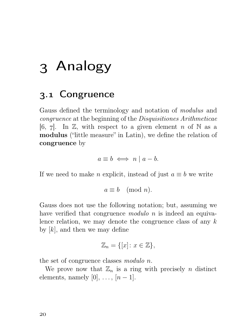## Analogy

## 3.1 Congruence

Gauss defined the terminology and notation of modulus and congruence at the beginning of the Disquisitiones Arithmeticae [6, 7]. In  $\mathbb{Z}$ , with respect to a given element n of N as a modulus ("little measure" in Latin), we define the relation of congruence by

$$
a \equiv b \iff n \mid a - b.
$$

If we need to make n explicit, instead of just  $a \equiv b$  we write

$$
a \equiv b \pmod{n}.
$$

Gauss does not use the following notation; but, assuming we have verified that congruence *modulo n* is indeed an equivalence relation, we may denote the congruence class of any k by  $[k]$ , and then we may define

$$
\mathbb{Z}_n = \{ [x] \colon x \in \mathbb{Z} \},\
$$

the set of congruence classes modulo n.

We prove now that  $\mathbb{Z}_n$  is a ring with precisely *n* distinct elements, namely  $[0], \ldots, [n-1].$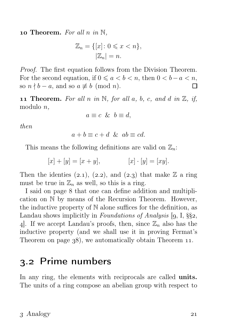**10 Theorem.** For all n in  $\mathbb{N}$ ,

$$
\mathbb{Z}_n = \{ [x] \colon 0 \leq x < n \},
$$
  

$$
|\mathbb{Z}_n| = n.
$$

Proof. The first equation follows from the Division Theorem. For the second equation, if  $0 \le a < b < n$ , then  $0 < b-a < n$ , so  $n \nmid b - a$ , and so  $a \not\equiv b \pmod{n}$ . П

**11 Theorem.** For all n in N, for all a, b, c, and d in  $\mathbb{Z}$ , if, modulo n,

$$
a \equiv c \And b \equiv d,
$$

then

$$
a + b \equiv c + d \& ab \equiv cd.
$$

This means the following definitions are valid on  $\mathbb{Z}_n$ :

$$
[x] + [y] = [x + y], \qquad [x] \cdot [y] = [xy].
$$

Then the identies  $(2.1), (2.2),$  and  $(2.3)$  that make Z a ring must be true in  $\mathbb{Z}_n$  as well, so this is a ring.

I said on page 8 that one can define addition and multiplication on N by means of the Recursion Theorem. However, the inductive property of N alone suffices for the definition, as Landau shows implicitly in Foundations of Analysis  $[9, 1, \S\$ 2, 4. If we accept Landau's proofs, then, since  $\mathbb{Z}_n$  also has the inductive property (and we shall use it in proving Fermat's Theorem on page  $38$ , we automatically obtain Theorem 11.

## 3.2 Prime numbers

In any ring, the elements with reciprocals are called **units**. The units of a ring compose an abelian group with respect to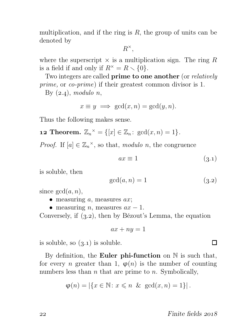multiplication, and if the ring is  $R$ , the group of units can be denoted by

 $R^{\times},$ 

where the superscript  $\times$  is a multiplication sign. The ring R is a field if and only if  $R^* = R \setminus \{0\}.$ 

Two integers are called **prime to one another** (or *relatively* prime, or co-prime) if their greatest common divisor is 1.

By  $(2.4)$ , modulo n,

$$
x \equiv y \implies \gcd(x, n) = \gcd(y, n).
$$

Thus the following makes sense.

**12 Theorem.**  $\mathbb{Z}_n^{\times} = \{ [x] \in \mathbb{Z}_n : \text{gcd}(x, n) = 1 \}.$ 

*Proof.* If  $[a] \in \mathbb{Z}_n^{\times}$ , so that, modulo n, the congruence

$$
ax \equiv 1 \tag{3.1}
$$

is soluble, then

$$
\gcd(a, n) = 1 \tag{3.2}
$$

since  $gcd(a, n)$ ,

- measuring a, measures  $ax$ ;
- measuring *n*, measures  $ax 1$ .

Conversely, if  $(3.2)$ , then by Bézout's Lemma, the equation

$$
ax + ny = 1
$$

is soluble, so  $(3.1)$  is soluble.

By definition, the **Euler phi-function** on  $\mathbb N$  is such that, for every *n* greater than 1,  $\varphi(n)$  is the number of counting numbers less than  $n$  that are prime to  $n$ . Symbolically,

$$
\varphi(n) = |\{x \in \mathbb{N} : x \leq n \& \gcd(x, n) = 1\}|.
$$

П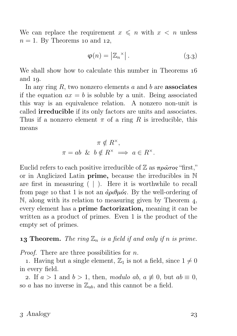We can replace the requirement  $x \leq n$  with  $x < n$  unless  $n = 1$ . By Theorems 10 and 12,

$$
\varphi(n) = |\mathbb{Z}_n^\times| \,. \tag{3.3}
$$

We shall show how to calculate this number in Theorems  $16$ and  $19$ .

In any ring  $R$ , two nonzero elements  $a$  and  $b$  are **associates** if the equation  $ax = b$  is soluble by a unit. Being associated this way is an equivalence relation. A nonzero non-unit is called irreducible if its only factors are units and associates. Thus if a nonzero element  $\pi$  of a ring R is irreducible, this means

$$
\pi \notin R^{\times},
$$
  

$$
\pi = ab \& b \notin R^{\times} \Longrightarrow a \in R^{\times}.
$$

Euclid refers to each positive irreducible of  $\mathbb Z$  as  $\pi \rho \hat{\omega} \tau$  os "first," or in Anglicized Latin prime, because the irreducibles in N are first in measuring ( | ). Here it is worthwhile to recall from page 10 that 1 is not an  $\dot{\alpha}$ ριθμός. By the well-ordering of  $\mathbb N$ , along with its relation to measuring given by Theorem 4, every element has a prime factorization, meaning it can be written as a product of primes. Even 1 is the product of the empty set of primes.

**13 Theorem.** The ring  $\mathbb{Z}_n$  is a field if and only if n is prime.

*Proof.* There are three possibilities for  $n$ .

1. Having but a single element,  $\mathbb{Z}_1$  is not a field, since  $1 \neq 0$ in every field.

2. If  $a > 1$  and  $b > 1$ , then, modulo ab,  $a \not\equiv 0$ , but  $ab \equiv 0$ , so a has no inverse in  $\mathbb{Z}_{ab}$ , and this cannot be a field.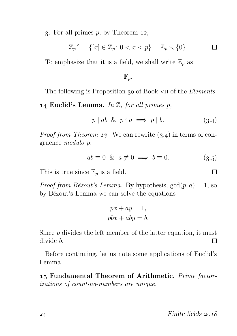3. For all primes  $p$ , by Theorem 12,

$$
\mathbb{Z}_p^{\times} = \{ [x] \in \mathbb{Z}_p : 0 < x < p \} = \mathbb{Z}_p \setminus \{ 0 \}. \qquad \Box
$$

To emphasize that it is a field, we shall write  $\mathbb{Z}_p$  as

$$
\mathbb{F}_p.
$$

The following is Proposition 30 of Book VII of the *Elements*.

**14 Euclid's Lemma.** In  $\mathbb{Z}$ , for all primes p,

$$
p \mid ab \And p \nmid a \implies p \mid b. \tag{3.4}
$$

*Proof from Theorem 13.* We can rewrite  $(3.4)$  in terms of congruence modulo p:

$$
ab \equiv 0 \& a \not\equiv 0 \implies b \equiv 0. \tag{3.5}
$$

This is true since  $\mathbb{F}_p$  is a field.

*Proof from Bézout's Lemma.* By hypothesis,  $gcd(p, a) = 1$ , so by Bézout's Lemma we can solve the equations

$$
px + ay = 1,
$$
  

$$
pbx + aby = b.
$$

Since  $p$  divides the left member of the latter equation, it must divide b.  $\Box$ 

Before continuing, let us note some applications of Euclid's Lemma.

15 Fundamental Theorem of Arithmetic. Prime factorizations of counting-numbers are unique.

П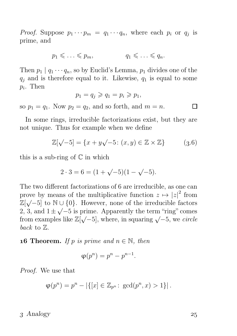*Proof.* Suppose  $p_1 \cdots p_m = q_1 \cdots q_n$ , where each  $p_i$  or  $q_j$  is prime, and

$$
p_1 \leqslant \ldots \leqslant p_m, \qquad q_1 \leqslant \ldots \leqslant q_n.
$$

Then  $p_1 | q_1 \cdots q_n$ , so by Euclid's Lemma,  $p_1$  divides one of the  $q_i$  and is therefore equal to it. Likewise,  $q_1$  is equal to some  $p_i$ . Then

$$
p_1 = q_j \geqslant q_1 = p_i \geqslant p_1,
$$

so  $p_1 = q_1$ . Now  $p_2 = q_2$ , and so forth, and  $m = n$ .

In some rings, irreducible factorizations exist, but they are not unique. Thus for example when we define

$$
\mathbb{Z}[\sqrt{-5}] = \{x + y\sqrt{-5} : (x, y) \in \mathbb{Z} \times \mathbb{Z}\}\tag{3.6}
$$

this is a sub-ring of  $\mathbb C$  in which

$$
2 \cdot 3 = 6 = (1 + \sqrt{-5})(1 - \sqrt{-5}).
$$

The two different factorizations of 6 are irreducible, as one can prove by means of the multiplicative function  $z \mapsto |z|^2$  from  $\mathbb{Z}[\sqrt{-5}]$  to  $\mathbb{N} \cup \{0\}$ . However, none of the irreducible factors 2, 3, and  $1 \pm \sqrt{-5}$  is prime. Apparently the term "ring" comes from examples like  $\mathbb{Z}[\sqrt{-5}]$ , where, in squaring  $\sqrt{-5}$ , we circle back to Z.

**16 Theorem.** If p is prime and  $n \in \mathbb{N}$ , then

$$
\varphi(p^n) = p^n - p^{n-1}.
$$

Proof. We use that

$$
\varphi(p^n) = p^n - |\{ [x] \in \mathbb{Z}_{p^n} \colon \gcd(p^n, x) > 1 \}|.
$$

 $3$  Analogy  $25$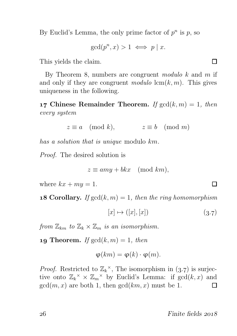By Euclid's Lemma, the only prime factor of  $p^n$  is p, so

$$
\gcd(p^n, x) > 1 \iff p \mid x.
$$

This yields the claim.

By Theorem 8, numbers are congruent modulo  $k$  and  $m$  if and only if they are congruent modulo  $\text{lcm}(k, m)$ . This gives uniqueness in the following.

**17 Chinese Remainder Theorem.** If  $gcd(k, m) = 1$ , then every system

$$
z \equiv a \pmod{k}, \qquad z \equiv b \pmod{m}
$$

has a solution that is unique modulo km.

Proof. The desired solution is

$$
z \equiv amy + b kx \pmod{km},
$$

where  $kx + my = 1$ .

**18 Corollary.** If  $gcd(k, m) = 1$ , then the ring homomorphism

$$
[x] \mapsto ([x], [x]) \tag{3.7}
$$

from  $\mathbb{Z}_{km}$  to  $\mathbb{Z}_k \times \mathbb{Z}_m$  is an isomorphism.

**19 Theorem.** If  $gcd(k, m) = 1$ , then

$$
\varphi(km) = \varphi(k) \cdot \varphi(m).
$$

*Proof.* Restricted to  $\mathbb{Z}_k^{\times}$ , The isomorphism in (3.7) is surjective onto  $\mathbb{Z}_k^{\times} \times \mathbb{Z}_m^{\times}$  by Euclid's Lemma: if  $gcd(k, x)$  and  $gcd(m, x)$  are both 1, then  $gcd(km, x)$  must be 1.  $\Box$ 

 $26$  Finite fields  $2018$ 

Π

П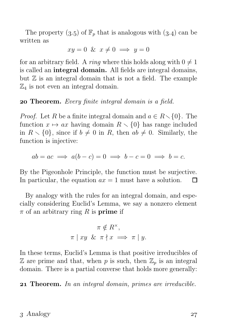The property  $(3.5)$  of  $\mathbb{F}_p$  that is analogous with  $(3.4)$  can be written as

$$
xy = 0 \& x \neq 0 \implies y = 0
$$

for an arbitrary field. A *ring* where this holds along with  $0 \neq 1$ is called an integral domain. All fields are integral domains, but  $\mathbb Z$  is an integral domain that is not a field. The example  $\mathbb{Z}_4$  is not even an integral domain.

#### **20 Theorem.** Every finite integral domain is a field.

*Proof.* Let R be a finite integral domain and  $a \in R \setminus \{0\}$ . The function  $x \mapsto ax$  having domain  $R \setminus \{0\}$  has range included in  $R \setminus \{0\}$ , since if  $b \neq 0$  in R, then  $ab \neq 0$ . Similarly, the function is injective:

$$
ab = ac \implies a(b - c) = 0 \implies b - c = 0 \implies b = c.
$$

By the Pigeonhole Principle, the function must be surjective. In particular, the equation  $ax = 1$  must have a solution.  $\Box$ 

By analogy with the rules for an integral domain, and especially considering Euclid's Lemma, we say a nonzero element  $\pi$  of an arbitrary ring R is **prime** if

$$
\pi \notin R^{\times},
$$
  

$$
\pi \mid xy \& \pi \nmid x \implies \pi \mid y.
$$

In these terms, Euclid's Lemma is that positive irreducibles of  $\mathbb Z$  are prime and that, when p is such, then  $\mathbb Z_p$  is an integral domain. There is a partial converse that holds more generally:

21 Theorem. In an integral domain, primes are irreducible.

#### $3$  Analogy  $27$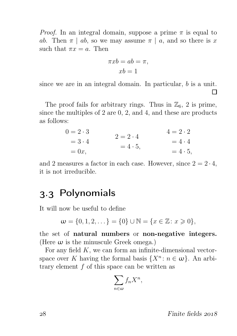*Proof.* In an integral domain, suppose a prime  $\pi$  is equal to ab. Then  $\pi | ab$ , so we may assume  $\pi | a$ , and so there is x such that  $\pi x = a$ . Then

$$
\pi xb = ab = \pi,
$$
  

$$
xb = 1
$$

since we are in an integral domain. In particular, b is a unit. П

The proof fails for arbitrary rings. Thus in  $\mathbb{Z}_6$ , 2 is prime, since the multiples of 2 are 0, 2, and 4, and these are products as follows:

$$
0 = 2 \cdot 3 \n= 3 \cdot 4 \n= 0x,
$$
\n
$$
2 = 2 \cdot 4 \n= 4 \cdot 5 \n= 4 \cdot 5,
$$
\n
$$
4 = 2 \cdot 2 \n= 4 \cdot 4 \n= 4 \cdot 5,
$$

and 2 measures a factor in each case. However, since  $2 = 2 \cdot 4$ , it is not irreducible.

## . Polynomials

It will now be useful to define

$$
\mathbf{w} = \{0, 1, 2, \dots\} = \{0\} \cup \mathbb{N} = \{x \in \mathbb{Z} : x \geq 0\},\
$$

the set of natural numbers or non-negative integers. (Here  $\omega$  is the minuscule Greek omega.)

For any field  $K$ , we can form an infinite-dimensional vectorspace over K having the formal basis  $\{X^n : n \in \omega\}$ . An arbitrary element  $f$  of this space can be written as

$$
\sum_{n\in\omega}f_nX^n,
$$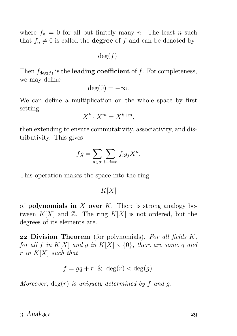where  $f_n = 0$  for all but finitely many n. The least n such that  $f_n \neq 0$  is called the **degree** of f and can be denoted by

 $deg(f)$ .

Then  $f_{\text{deg}(f)}$  is the **leading coefficient** of f. For completeness, we may define

$$
\deg(0) = -\infty.
$$

We can define a multiplication on the whole space by first setting

$$
X^k \cdot X^m = X^{k+m},
$$

then extending to ensure commutativity, associativity, and distributivity. This gives

$$
fg = \sum_{n \in \omega} \sum_{i+j=n} f_i g_j X^n.
$$

This operation makes the space into the ring

 $K[X]$ 

of **polynomials in** X over K. There is strong analogy between  $K[X]$  and  $\mathbb{Z}$ . The ring  $K[X]$  is not ordered, but the degrees of its elements are.

**22 Division Theorem** (for polynomials). For all fields  $K$ , for all f in K[X] and g in  $K[X] \setminus \{0\}$ , there are some q and r in  $K[X]$  such that

$$
f = gq + r \& \deg(r) < \deg(g).
$$

Moreover,  $deg(r)$  is uniquely determined by f and q.

### $3$  Analogy  $29$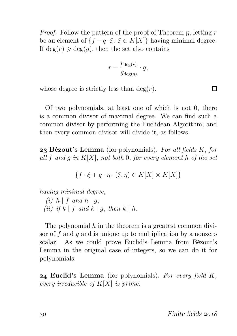*Proof.* Follow the pattern of the proof of Theorem  $5$ , letting r be an element of  $\{f - q \cdot \xi : \xi \in K[X]\}$  having minimal degree. If  $deg(r) \geq deg(q)$ , then the set also contains

$$
r - \frac{r_{\deg(r)}}{g_{\deg(g)}} \cdot g,
$$

whose degree is strictly less than  $deg(r)$ .

Of two polynomials, at least one of which is not 0, there is a common divisor of maximal degree. We can find such a common divisor by performing the Euclidean Algorithm; and then every common divisor will divide it, as follows.

**23 Bézout's Lemma** (for polynomials). For all fields  $K$ , for all f and q in  $K[X]$ , not both 0, for every element h of the set

 ${f \cdot \xi + q \cdot \eta : (\xi, \eta) \in K[X] \times K[X]}$ 

having minimal degree,

(i)  $h \mid f$  and  $h \mid q$ ; (ii) if  $k \mid f$  and  $k \mid q$ , then  $k \mid h$ .

The polynomial  $h$  in the theorem is a greatest common divisor of f and q and is unique up to multiplication by a nonzero scalar. As we could prove Euclid's Lemma from Bézout's Lemma in the original case of integers, so we can do it for polynomials:

**24 Euclid's Lemma** (for polynomials). For every field  $K$ , every irreducible of  $K[X]$  is prime.

П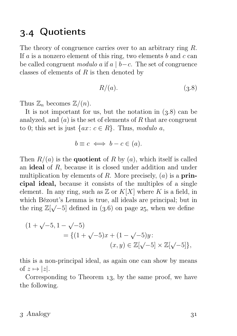## . Quotients

The theory of congruence carries over to an arbitrary ring R. If a is a nonzero element of this ring, two elements b and  $c$  can be called congruent modulo a if a | b−c. The set of congruence classes of elements of  $R$  is then denoted by

$$
R/(a). \t\t(3.8)
$$

Thus  $\mathbb{Z}_n$  becomes  $\mathbb{Z}/(n)$ .

It is not important for us, but the notation in  $(3.8)$  can be analyzed, and  $(a)$  is the set of elements of R that are congruent to 0; this set is just  $\{ax : c \in R\}$ . Thus, modulo a,

$$
b \equiv c \iff b - c \in (a).
$$

Then  $R/(a)$  is the **quotient** of R by  $(a)$ , which itself is called an ideal of R, because it is closed under addition and under multiplication by elements of R. More precisely,  $(a)$  is a **prin**cipal ideal, because it consists of the multiples of a single element. In any ring, such as  $\mathbb{Z}$  or  $K[X]$  where K is a field, in which Bézout's Lemma is true, all ideals are principal; but in the ring  $\mathbb{Z}[\sqrt{-5}]$  defined in (3.6) on page 25, when we define

$$
(1 + \sqrt{-5}, 1 - \sqrt{-5})
$$
  
= { (1 + \sqrt{-5})x + (1 - \sqrt{-5})y :  
 (x, y) \in \mathbb{Z}[\sqrt{-5}] \times \mathbb{Z}[\sqrt{-5}] },

this is a non-principal ideal, as again one can show by means of  $z \mapsto |z|$ .

Corresponding to Theorem  $13$ , by the same proof, we have the following.

#### $3$  Analogy  $31$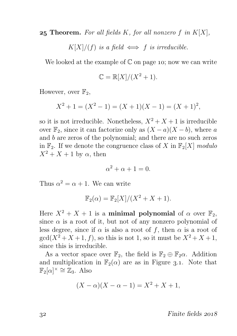**25 Theorem.** For all fields K, for all nonzero f in  $K[X]$ ,

 $K[X]/(f)$  is a field  $\iff$  f is irreducible.

We looked at the example of  $\mathbb C$  on page 10; now we can write

$$
\mathbb{C} = \mathbb{R}[X]/(X^2 + 1).
$$

However, over  $\mathbb{F}_2$ ,

$$
X^{2} + 1 = (X^{2} - 1) = (X + 1)(X - 1) = (X + 1)^{2},
$$

so it is not irreducible. Nonetheless,  $X^2 + X + 1$  is irreducible over  $\mathbb{F}_2$ , since it can factorize only as  $(X - a)(X - b)$ , where a and b are zeros of the polynomial; and there are no such zeros in  $\mathbb{F}_2$ . If we denote the congruence class of X in  $\mathbb{F}_2[X]$  modulo  $X^2 + X + 1$  by  $\alpha$ , then

$$
\alpha^2 + \alpha + 1 = 0.
$$

Thus  $\alpha^2 = \alpha + 1$ . We can write

$$
\mathbb{F}_2(\alpha) = \mathbb{F}_2[X]/(X^2 + X + 1).
$$

Here  $X^2 + X + 1$  is a minimal polynomial of  $\alpha$  over  $\mathbb{F}_2$ , since  $\alpha$  is a root of it, but not of any nonzero polynomial of less degree, since if  $\alpha$  is also a root of f, then  $\alpha$  is a root of  $\gcd(X^2+X+1,f)$ , so this is not 1, so it must be  $X^2+X+1$ , since this is irreducible.

As a vector space over  $\mathbb{F}_2$ , the field is  $\mathbb{F}_2 \oplus \mathbb{F}_2 \alpha$ . Addition and multiplication in  $\mathbb{F}_2(\alpha)$  are as in Figure 3.1. Note that  $\mathbb{F}_2[\alpha]^\times \cong \mathbb{Z}_3$ . Also

$$
(X - \alpha)(X - \alpha - 1) = X^2 + X + 1,
$$

 $\frac{32}{2018}$  Finite fields  $\frac{2018}{2018}$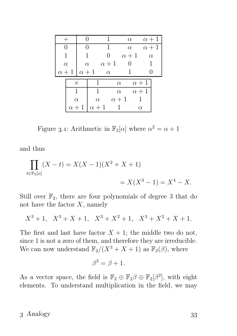|                       |              |               |              |              |              | $\alpha$     | $\alpha + 1$ |  |
|-----------------------|--------------|---------------|--------------|--------------|--------------|--------------|--------------|--|
| $\mathbf{\mathbf{0}}$ |              | $\mathcal{O}$ |              | 1            |              | $\alpha$     | $\alpha+1$   |  |
|                       |              | 1             |              | 0            |              | $\alpha + 1$ | $\alpha$     |  |
|                       | $\alpha$     |               | $\alpha$     | $\alpha + 1$ |              |              |              |  |
|                       | $\alpha + 1$ | $\alpha + 1$  |              | $\alpha$     |              |              |              |  |
|                       | $\times$     |               |              |              | $\alpha$     |              | $\alpha + 1$ |  |
|                       |              |               |              |              | $\alpha$     |              | $\alpha + 1$ |  |
|                       | $\alpha$     |               | $\alpha$     |              | $\alpha + 1$ |              |              |  |
|                       | $\alpha+1$   |               | $\alpha + 1$ |              |              |              | $\alpha$     |  |

Figure 3.1: Arithmetic in  $\mathbb{F}_2[\alpha]$  where  $\alpha^2 = \alpha + 1$ 

and thus

$$
\prod_{t \in \mathbb{F}_2[\alpha]} (X - t) = X(X - 1)(X^2 + X + 1)
$$
  
=  $X(X^3 - 1) = X^4 - X$ .

Still over  $\mathbb{F}_2$ , there are four polynomials of degree 3 that do not have the factor  $X$ , namely

$$
X^3 + 1, \quad X^3 + X + 1, \quad X^3 + X^2 + 1, \quad X^3 + X^2 + X + 1.
$$

The first and last have factor  $X + 1$ ; the middle two do not, since 1 is not a zero of them, and therefore they are irreducible. We can now understand  $\mathbb{F}_2/(X^3 + X + 1)$  as  $\mathbb{F}_2(\beta)$ , where

$$
\beta^3 = \beta + 1.
$$

As a vector space, the field is  $\mathbb{F}_2 \oplus \mathbb{F}_2\beta \oplus \mathbb{F}_2[\beta^2]$ , with eight elements. To understand multiplication in the field, we may

### 3 Analogy 33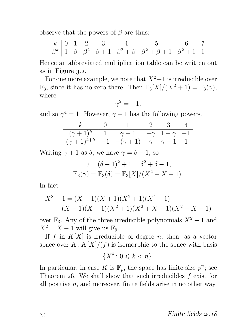observe that the powers of  $\beta$  are thus:

| k         | 0 | 1       | 2         | 3           | 4                 | 5                     | 6             | 7 |
|-----------|---|---------|-----------|-------------|-------------------|-----------------------|---------------|---|
| $\beta^k$ | 1 | $\beta$ | $\beta^2$ | $\beta + 1$ | $\beta^2 + \beta$ | $\beta^2 + \beta + 1$ | $\beta^2 + 1$ | 1 |

Hence an abbreviated multiplication table can be written out as in Figure  $3.2$ .

For one more example, we note that  $X^2+1$  is irreducible over  $\mathbb{F}_3$ , since it has no zero there. Then  $\mathbb{F}_3[X]/(X^2+1) = \mathbb{F}_3(\gamma)$ , where

$$
\gamma^2=-1,
$$

and so  $\gamma^4 = 1$ . However,  $\gamma + 1$  has the following powers.

|                                                                                                                                                             | $k \begin{array}{ c c c c } \hline k \ 0 \ 0 \ 1 \ 2 \ 3 \ 4 \ \hline \end{array}$ |  |  |
|-------------------------------------------------------------------------------------------------------------------------------------------------------------|------------------------------------------------------------------------------------|--|--|
| $\begin{array}{c ccccc}\n(\gamma+1)^k & 1 & \gamma+1 & -\gamma & 1-\gamma & -1 \\ (\gamma+1)^{4+k} & -1 & -(\gamma+1) & \gamma & \gamma-1 & 1\n\end{array}$ |                                                                                    |  |  |

Writing  $\gamma + 1$  as  $\delta$ , we have  $\gamma = \delta - 1$ , so

$$
0 = (\delta - 1)^2 + 1 = \delta^2 + \delta - 1,
$$
  
\n
$$
\mathbb{F}_3(\gamma) = \mathbb{F}_3(\delta) = \mathbb{F}_3[X]/(X^2 + X - 1).
$$

In fact

$$
X^{8} - 1 = (X - 1)(X + 1)(X^{2} + 1)(X^{4} + 1)
$$
  

$$
(X - 1)(X + 1)(X^{2} + 1)(X^{2} + X - 1)(X^{2} - X - 1)
$$

over  $\mathbb{F}_3$ . Any of the three irreducible polynomials  $X^2 + 1$  and  $X^2 \pm X - 1$  will give us  $\mathbb{F}_9$ .

If f in  $K[X]$  is irreducible of degree n, then, as a vector space over  $K$ ,  $K[X]/(f)$  is isomorphic to the space with basis

$$
\{X^k \colon 0 \leqslant k < n\}.
$$

In particular, in case K is  $\mathbb{F}_p$ , the space has finite size  $p^n$ ; see Theorem 26. We shall show that such irreducibles  $f$  exist for all positive  $n$ , and moreover, finite fields arise in no other way.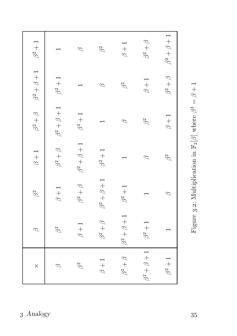| $\varphi$         | $\beta^2$         | $\beta+1$         | $\beta^2+\beta$   | $\beta^2+\beta+1$ | $\beta^2+1$       |
|-------------------|-------------------|-------------------|-------------------|-------------------|-------------------|
|                   | $\beta + 1$       | $\beta^2+\beta$   | $\beta^2+\beta+1$ | $\beta^2+1$       |                   |
|                   | $\beta^2+\beta$   | $\beta^2+\beta+1$ | $\beta^2+1$       |                   | $\varnothing$     |
| $\beta^2+\beta$   | $\beta^2+\beta+1$ | $\beta^2+1$       |                   | $\varnothing$     | $\beta^2$         |
| $\beta^2+\beta+1$ | $\beta^2+1$       |                   | $\varphi$         | $\beta^2$         | $\beta+1$         |
|                   |                   | $\varphi$         | $\beta^2$         | $\beta + 1$       | $\beta^2+\beta$   |
|                   | $\varphi$         | $\beta^2$         | $\beta + 1$       | $\beta^2+\beta$   | $\beta^2+\beta+1$ |

Figure 3.2: Multiplication in  $\mathbb{F}_2[\beta]$  where  $\beta^3 = \beta + 1$ Figure 3.2: Multiplication in  $\mathbb{F}_2[\beta]$  where  $\beta^3=\beta+1$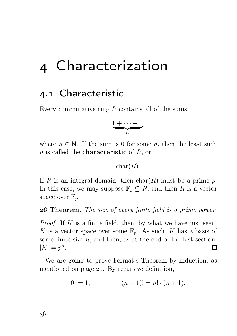# Characterization

## . Characteristic

Every commutative ring  $R$  contains all of the sums

$$
\underbrace{1+\cdots+1}_{n},
$$

where  $n \in \mathbb{N}$ . If the sum is 0 for some n, then the least such  $n$  is called the **characteristic** of  $R$ , or

#### $char(R)$ .

If R is an integral domain, then  $char(R)$  must be a prime p. In this case, we may suppose  $\mathbb{F}_n \subseteq R$ ; and then R is a vector space over  $\mathbb{F}_p$ .

**26 Theorem.** The size of every finite field is a prime power.

*Proof.* If K is a finite field, then, by what we have just seen, K is a vector space over some  $\mathbb{F}_p$ . As such, K has a basis of some finite size  $n$ ; and then, as at the end of the last section,  $|K| = p^n$ .  $\Box$ 

We are going to prove Fermat's Theorem by induction, as mentioned on page 21. By recursive definition,

$$
0! = 1, \qquad (n+1)! = n! \cdot (n+1).
$$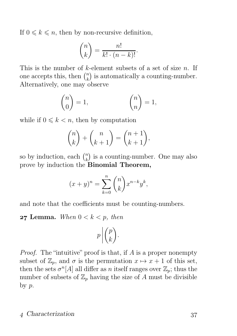If  $0 \leq k \leq n$ , then by non-recursive definition,

$$
\binom{n}{k} = \frac{n!}{k! \cdot (n-k)!}.
$$

This is the number of  $k$ -element subsets of a set of size n. If one accepts this, then  $\binom{n}{k}$  $\binom{n}{k}$  is automatically a counting-number. Alternatively, one may observe

$$
\binom{n}{0} = 1, \qquad \binom{n}{n} = 1,
$$

while if  $0 \leq k \leq n$ , then by computation

$$
\binom{n}{k} + \binom{n}{k+1} = \binom{n+1}{k+1},
$$

so by induction, each  $\binom{n}{k}$  $\binom{n}{k}$  is a counting-number. One may also prove by induction the Binomial Theorem,

$$
(x+y)^n = \sum_{k=0}^n \binom{n}{k} x^{n-k} y^k,
$$

and note that the coefficients must be counting-numbers.

**27 Lemma.** When  $0 < k < p$ , then

$$
p\left|\binom{p}{k}.\right.
$$

Proof. The "intuitive" proof is that, if A is a proper nonempty subset of  $\mathbb{Z}_p$ , and  $\sigma$  is the permutation  $x \mapsto x + 1$  of this set, then the sets  $\sigma^{n}[A]$  all differ as *n* itself ranges over  $\mathbb{Z}_p$ ; thus the number of subsets of  $\mathbb{Z}_p$  having the size of A must be divisible by p.

### 4 Characterization 37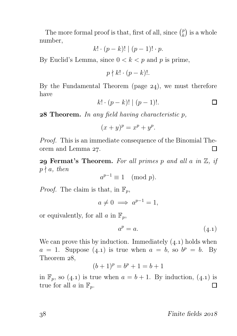The more formal proof is that, first of all, since  $\binom{p}{k}$  $\binom{p}{k}$  is a whole number,

$$
k! \cdot (p-k)! \mid (p-1)! \cdot p.
$$

By Euclid's Lemma, since  $0 < k < p$  and p is prime,

$$
p \nmid k! \cdot (p-k)!
$$

By the Fundamental Theorem (page  $24$ ), we must therefore have

$$
k! \cdot (p-k)! \mid (p-1)!.
$$

**28 Theorem.** In any field having characteristic  $p$ ,

$$
(x+y)^p = x^p + y^p.
$$

Proof. This is an immediate consequence of the Binomial Theorem and Lemma 27. П

29 Fermat's Theorem. For all primes p and all a in  $\mathbb{Z}$ , if  $p \nmid a$ , then

$$
a^{p-1} \equiv 1 \pmod{p}.
$$

*Proof.* The claim is that, in  $\mathbb{F}_p$ ,

 $a \neq 0 \implies a^{p-1} = 1,$ 

or equivalently, for all  $a$  in  $\mathbb{F}_p$ ,

$$
a^p = a.\t\t(4.1)
$$

We can prove this by induction. Immediately  $(4.1)$  holds when  $a = 1$ . Suppose  $(4.1)$  is true when  $a = b$ , so  $b^p = b$ . By Theorem 28,

$$
(b+1)^p = b^p + 1 = b + 1
$$

in  $\mathbb{F}_p$ , so (4.1) is true when  $a = b + 1$ . By induction, (4.1) is true for all  $a$  in  $\mathbb{F}_p$ .  $\Box$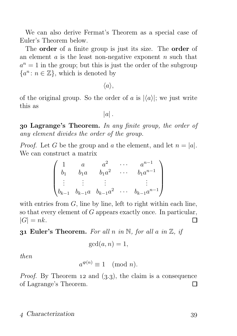We can also derive Fermat's Theorem as a special case of Euler's Theorem below.

The order of a finite group is just its size. The order of an element  $a$  is the least non-negative exponent  $n$  such that  $a^n = 1$  in the group; but this is just the order of the subgroup  $\{a^n : n \in \mathbb{Z}\},\$  which is denoted by

 $\langle a \rangle$ .

of the original group. So the order of a is  $|\langle a \rangle|$ ; we just write this as

 $|a|$ .

 Lagrange's Theorem. In any finite group, the order of any element divides the order of the group.

*Proof.* Let G be the group and a the element, and let  $n = |a|$ . We can construct a matrix

$$
\begin{pmatrix} 1 & a & a^2 & \cdots & a^{n-1} \\ b_1 & b_1a & b_1a^2 & \cdots & b_1a^{n-1} \\ \vdots & \vdots & \vdots & & \vdots \\ b_{k-1} & b_{k-1}a & b_{k-1}a^2 & \cdots & b_{k-1}a^{n-1} \end{pmatrix}
$$

with entries from  $G$ , line by line, left to right within each line, so that every element of G appears exactly once. In particular,  $|G| = nk$ . П

#### **31 Euler's Theorem.** For all n in N, for all a in  $\mathbb{Z}$ , if

$$
\gcd(a, n) = 1,
$$

then

$$
a^{\varphi(n)} \equiv 1 \pmod{n}.
$$

*Proof.* By Theorem 12 and  $(3.3)$ , the claim is a consequence of Lagrange's Theorem.  $\Box$ 

#### 4 Characterization 39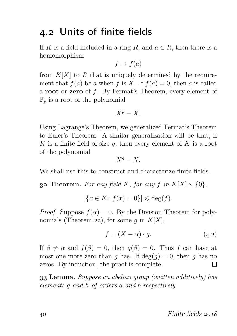## . Units of finite fields

If K is a field included in a ring R, and  $a \in R$ , then there is a homomorphism

$$
f \mapsto f(a)
$$

from  $K[X]$  to R that is uniquely determined by the requirement that  $f(a)$  be a when f is X. If  $f(a) = 0$ , then a is called a root or zero of f. By Fermat's Theorem, every element of  $\mathbb{F}_p$  is a root of the polynomial

$$
X^p-X.
$$

Using Lagrange's Theorem, we generalized Fermat's Theorem to Euler's Theorem. A similar generalization will be that, if K is a finite field of size q, then every element of K is a root of the polynomial

$$
X^q-X.
$$

We shall use this to construct and characterize finite fields.

**32 Theorem.** For any field K, for any f in  $K[X] \setminus \{0\}$ ,

$$
|\{x \in K : f(x) = 0\}| \leqslant \deg(f).
$$

*Proof.* Suppose  $f(\alpha) = 0$ . By the Division Theorem for polynomials (Theorem 22), for some q in  $K[X]$ ,

$$
f = (X - \alpha) \cdot g. \tag{4.2}
$$

If  $\beta \neq \alpha$  and  $f(\beta) = 0$ , then  $g(\beta) = 0$ . Thus f can have at most one more zero than q has. If  $deg(q) = 0$ , then q has no zeros. By induction, the proof is complete. П

 Lemma. Suppose an abelian group (written additively) has elements g and h of orders a and b respectively.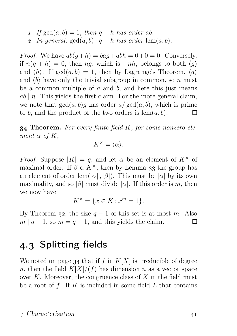1. If  $gcd(a, b) = 1$ , then  $q + h$  has order ab. 2. In general,  $gcd(a, b) \cdot q + h$  has order  $lcm(a, b)$ .

*Proof.* We have  $ab(q+h) = baq + abh = 0 + 0 = 0$ . Conversely, if  $n(g + h) = 0$ , then ng, which is  $-nh$ , belongs to both  $\langle g \rangle$ and  $\langle h \rangle$ . If  $gcd(a, b) = 1$ , then by Lagrange's Theorem,  $\langle a \rangle$ and  $\langle b \rangle$  have only the trivial subgroup in common, so n must be a common multiple of  $a$  and  $b$ , and here this just means  $ab \mid n$ . This yields the first claim. For the more general claim, we note that  $gcd(a, b)q$  has order  $a/gcd(a, b)$ , which is prime to b, and the product of the two orders is  $\text{lcm}(a, b)$ . П

**34 Theorem.** For every finite field  $K$ , for some nonzero element  $\alpha$  of  $K$ ,

$$
K^\times = \langle \alpha \rangle.
$$

*Proof.* Suppose  $|K| = q$ , and let  $\alpha$  be an element of  $K^{\times}$  of maximal order. If  $\beta \in K^{\times}$ , then by Lemma 33 the group has an element of order  $lcm(|\alpha|, |\beta|)$ . This must be  $|\alpha|$  by its own maximality, and so |β| must divide  $|\alpha|$ . If this order is m, then we now have

$$
K^{\times} = \{ x \in K : x^m = 1 \}.
$$

By Theorem 32, the size  $q-1$  of this set is at most m. Also  $m | q-1$ , so  $m = q-1$ , and this yields the claim.  $\mathbf{L}$ 

## . Splitting fields

We noted on page 34 that if f in  $K[X]$  is irreducible of degree n, then the field  $K[X]/(f)$  has dimension n as a vector space over  $K$ . Moreover, the congruence class of  $X$  in the field must be a root of f. If K is included in some field  $L$  that contains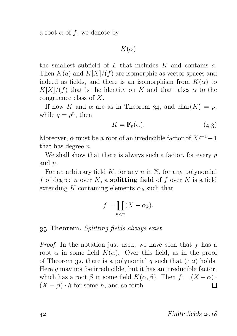a root  $\alpha$  of f, we denote by

 $K(\alpha)$ 

the smallest subfield of  $L$  that includes  $K$  and contains  $a$ . Then  $K(a)$  and  $K[X]/(f)$  are isomorphic as vector spaces and indeed as fields, and there is an isomorphism from  $K(\alpha)$  to  $K[X]/(f)$  that is the identity on K and that takes  $\alpha$  to the congruence class of X.

If now K and  $\alpha$  are as in Theorem 34, and char(K) = p, while  $q = p^n$ , then

$$
K = \mathbb{F}_p(\alpha). \tag{4.3}
$$

Moreover,  $\alpha$  must be a root of an irreducible factor of  $X^{q-1}-1$ that has degree n.

We shall show that there is always such a factor, for every  $p$ and n.

For an arbitrary field K, for any n in N, for any polynomial f of degree n over K, a splitting field of f over K is a field extending K containing elements  $\alpha_k$  such that

$$
f = \prod_{k < n} (X - \alpha_k).
$$

#### Theorem. Splitting fields always exist.

Proof. In the notation just used, we have seen that f has a root  $\alpha$  in some field  $K(\alpha)$ . Over this field, as in the proof of Theorem 32, there is a polynomial g such that  $(4.2)$  holds. Here  $g$  may not be irreducible, but it has an irreducible factor, which has a root  $\beta$  in some field  $K(\alpha, \beta)$ . Then  $f = (X - \alpha) \cdot$ <br> $(X - \beta) \cdot h$  for some h, and so forth.  $(X - \beta) \cdot h$  for some h, and so forth.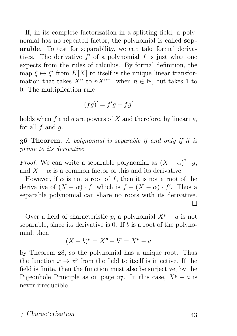If, in its complete factorization in a splitting field, a polynomial has no repeated factor, the polynomial is called separable. To test for separability, we can take formal derivatives. The derivative  $f'$  of a polynomial  $f$  is just what one expects from the rules of calculus. By formal definition, the map  $\xi \mapsto \xi'$  from  $K[X]$  to itself is the unique linear transformation that takes  $X^n$  to  $nX^{n-1}$  when  $n \in \mathbb{N}$ , but takes 1 to 0. The multiplication rule

$$
(fg)' = f'g + fg'
$$

holds when f and q are powers of X and therefore, by linearity, for all  $f$  and  $q$ .

**36 Theorem.** A polynomial is separable if and only if it is prime to its derivative.

*Proof.* We can write a separable polynomial as  $(X - \alpha)^2 \cdot g$ , and  $X - \alpha$  is a common factor of this and its derivative.

However, if  $\alpha$  is not a root of f, then it is not a root of the derivative of  $(X - \alpha) \cdot f$ , which is  $f + (X - \alpha) \cdot f'$ . Thus a separable polynomial can share no roots with its derivative. П

Over a field of characteristic p, a polynomial  $X^p - a$  is not separable, since its derivative is 0. If  $b$  is a root of the polynomial, then

$$
(X - b)^p = X^p - b^p = X^p - a
$$

by Theorem 28, so the polynomial has a unique root. Thus the function  $x \mapsto x^p$  from the field to itself is injective. If the field is finite, then the function must also be surjective, by the Pigeonhole Principle as on page 27. In this case,  $X^p - a$  is never irreducible.

#### 4 Characterization 43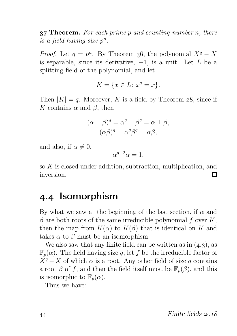**37 Theorem.** For each prime  $p$  and counting-number  $n$ , there is a field having size  $p^n$ .

*Proof.* Let  $q = p^n$ . By Theorem 36, the polynomial  $X^q - X$ is separable, since its derivative,  $-1$ , is a unit. Let L be a splitting field of the polynomial, and let

$$
K = \{x \in L \colon x^q = x\}.
$$

Then  $|K| = q$ . Moreover, K is a field by Theorem 28, since if K contains  $\alpha$  and  $\beta$ , then

$$
(\alpha \pm \beta)^q = \alpha^q \pm \beta^q = \alpha \pm \beta,
$$
  

$$
(\alpha \beta)^q = \alpha^q \beta^q = \alpha \beta,
$$

and also, if  $\alpha \neq 0$ ,

$$
\alpha^{q-2}\alpha = 1,
$$

so K is closed under addition, subtraction, multiplication, and inversion. П

## 4.4 Isomorphism

By what we saw at the beginning of the last section, if  $\alpha$  and  $\beta$  are both roots of the same irreducible polynomial f over K, then the map from  $K(\alpha)$  to  $K(\beta)$  that is identical on K and takes  $\alpha$  to  $\beta$  must be an isomorphism.

We also saw that any finite field can be written as in  $(4.3)$ , as  $\mathbb{F}_p(\alpha)$ . The field having size q, let f be the irreducible factor of  $X^q - X$  of which  $\alpha$  is a root. Any other field of size q contains a root  $\beta$  of f, and then the field itself must be  $\mathbb{F}_p(\beta)$ , and this is isomorphic to  $\mathbb{F}_p(\alpha)$ .

Thus we have: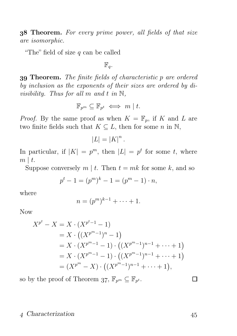**38 Theorem.** For every prime power, all fields of that size are isomorphic.

"The" field of size  $q$  can be called

 $\mathbb{F}_q$ .

 Theorem. The finite fields of characteristic p are ordered by inclusion as the exponents of their sizes are ordered by divisibility. Thus for all m and t in  $\mathbb{N}$ ,

$$
\mathbb{F}_{p^m} \subseteq \mathbb{F}_{p^t} \iff m \mid t.
$$

*Proof.* By the same proof as when  $K = \mathbb{F}_p$ , if K and L are two finite fields such that  $K \subseteq L$ , then for some n in N,

$$
|L|=|K|^n.
$$

In particular, if  $|K| = p^m$ , then  $|L| = p^t$  for some t, where  $m \mid t$ .

Suppose conversely  $m \mid t$ . Then  $t = mk$  for some k, and so

$$
p^t - 1 = (p^m)^k - 1 = (p^m - 1) \cdot n,
$$

where

$$
n = (p^m)^{k-1} + \cdots + 1.
$$

Now

$$
X^{p^t} - X = X \cdot (X^{p^{t-1}} - 1)
$$
  
=  $X \cdot ((X^{p^m-1})^n - 1)$   
=  $X \cdot (X^{p^m-1} - 1) \cdot ((X^{p^m-1})^{n-1} + \dots + 1)$   
=  $X \cdot (X^{p^m-1} - 1) \cdot ((X^{p^m-1})^{n-1} + \dots + 1)$   
=  $(X^{p^m} - X) \cdot ((X^{p^m-1})^{n-1} + \dots + 1),$ 

so by the proof of Theorem 37,  $\mathbb{F}_{p^m} \subseteq \mathbb{F}_{p^t}$ .

#### 4 Characterization 45

П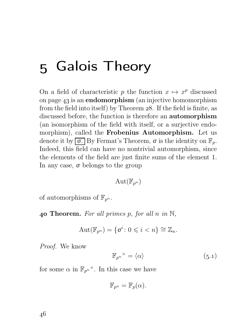# 5 Galois Theory

On a field of characteristic p the function  $x \mapsto x^p$  discussed on page  $43$  is an **endomorphism** (an injective homomorphism from the field into itself) by Theorem  $28$ . If the field is finite, as discussed before, the function is therefore an automorphism (an isomorphism of the field with itself, or a surjective endomorphism), called the Frobenius Automorphism. Let us denote it by  $\boxed{\sigma}$ . By Fermat's Theorem,  $\sigma$  is the identity on  $\mathbb{F}_p$ . Indeed, this field can have no nontrivial automorphism, since the elements of the field are just finite sums of the element 1. In any case,  $\sigma$  belongs to the group

$$
\mathrm{Aut}(\mathbb{F}_{p^n})
$$

of automorphisms of  $\mathbb{F}_{n^n}$ .

40 Theorem. For all primes p, for all n in  $\mathbb{N}$ ,

$$
Aut(\mathbb{F}_{p^n}) = \{ \sigma^i \colon 0 \leqslant i < n \} \cong \mathbb{Z}_n.
$$

Proof. We know

$$
\mathbb{F}_{p^n}{}^\times = \langle \alpha \rangle \tag{5.1}
$$

for some  $\alpha$  in  $\mathbb{F}_{p^n}^{\times}$ . In this case we have

$$
\mathbb{F}_{p^n} = \mathbb{F}_p(\alpha).
$$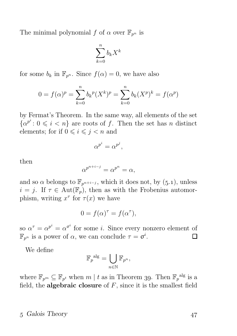The minimal polynomial f of  $\alpha$  over  $\mathbb{F}_{p^n}$  is

$$
\sum_{k=0}^{n} b_k X^k
$$

for some  $b_k$  in  $\mathbb{F}_{p^n}$ . Since  $f(\alpha) = 0$ , we have also

$$
0 = f(\alpha)^p = \sum_{k=0}^n b_k^p (X^k)^p = \sum_{k=0}^n b_k (X^p)^k = f(\alpha^p)
$$

by Fermat's Theorem. In the same way, all elements of the set  $\{\alpha^{p^i}: 0 \leq i \leq n\}$  are roots of f. Then the set has n distinct elements; for if  $0 \leq i \leq j \leq n$  and

$$
\alpha^{p^i} = \alpha^{p^j},
$$

then

$$
\alpha^{p^{n+i-j}} = \alpha^{p^n} = \alpha,
$$

and so  $\alpha$  belongs to  $\mathbb{F}_{p^{n+i-j}}$ , which it does not, by (5.1), unless  $i = j$ . If  $\tau \in Aut(\mathbb{F}_p)$ , then as with the Frobenius automorphism, writing  $x^{\tau}$  for  $\tau(x)$  we have

$$
0 = f(\alpha)^{\tau} = f(\alpha^{\tau}),
$$

so  $\alpha^{\tau} = \alpha^{p^i} = \alpha^{\sigma^i}$  for some *i*. Since every nonzero element of  $\mathbb{F}_{p^n}$  is a power of  $\alpha$ , we can conclude  $\tau = \sigma^i$ . П

We define

$$
{\mathbb F_p}^{\mathrm{alg}} = \bigcup_{n \in {\mathbb N}} {\mathbb F_{p^n}},
$$

where  $\mathbb{F}_{p^m} \subseteq \mathbb{F}_{p^t}$  when  $m \mid t$  as in Theorem 39. Then  $\mathbb{F}_p^{\text{alg}}$  is a field, the **algebraic closure** of  $F$ , since it is the smallest field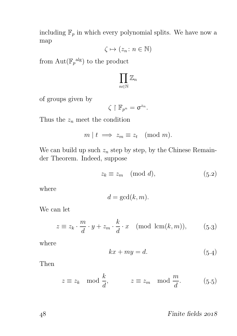including  $\mathbb{F}_p$  in which every polynomial splits. We have now a map

$$
\zeta \mapsto (z_n \colon n \in \mathbb{N})
$$

from  $\text{Aut}(\mathbb{F}_p^{\text{alg}})$  to the product

$$
\prod_{n\in\mathbb{N}}\mathbb{Z}_n
$$

of groups given by

$$
\zeta\restriction \mathbb{F}_{p^n}=\sigma^{z_n}.
$$

Thus the  $z_n$  meet the condition

$$
m \mid t \implies z_m \equiv z_t \pmod{m}.
$$

We can build up such  $z_n$  step by step, by the Chinese Remainder Theorem. Indeed, suppose

$$
z_k \equiv z_m \pmod{d},\tag{5.2}
$$

where

$$
d = \gcd(k, m).
$$

We can let

$$
z \equiv z_k \cdot \frac{m}{d} \cdot y + z_m \cdot \frac{k}{d} \cdot x \pmod{\text{lcm}(k, m)},\tag{5.3}
$$

where

$$
kx + my = d.\t\t(5.4)
$$

Then

$$
z \equiv z_k \mod \frac{k}{d}, \qquad z \equiv z_m \mod \frac{m}{d}.
$$
 (5.5)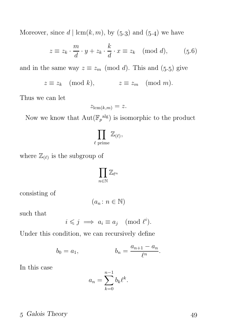Moreover, since  $d | \operatorname{lcm}(k, m)$ , by  $(5.3)$  and  $(5.4)$  we have

$$
z \equiv z_k \cdot \frac{m}{d} \cdot y + z_k \cdot \frac{k}{d} \cdot x \equiv z_k \pmod{d},\qquad(5.6)
$$

and in the same way  $z \equiv z_m \pmod{d}$ . This and (5.5) give

$$
z \equiv z_k \pmod{k}, \qquad z \equiv z_m \pmod{m}.
$$

Thus we can let

$$
z_{\text{lcm}(k,m)} = z.
$$

Now we know that  $\text{Aut}(\mathbb{F}_p^{\text{alg}})$  is isomorphic to the product

$$
\prod_{\ell \text{ prime}} \mathbb{Z}_{(\ell)},
$$

where  $\mathbb{Z}_{(\ell)}$  is the subgroup of

$$
\prod_{n\in\mathbb{N}}\mathbb{Z}_{\ell^n}
$$

consisting of

$$
(a_n \colon n \in \mathbb{N})
$$

such that

$$
i \leq j \implies a_i \equiv a_j \pmod{\ell^i}.
$$

Under this condition, we can recursively define

$$
b_0 = a_1,
$$
  $b_n = \frac{a_{n+1} - a_n}{\ell^n}.$ 

In this case

$$
a_n = \sum_{k=0}^{n-1} b_k \ell^k.
$$

### 5 Galois Theory 49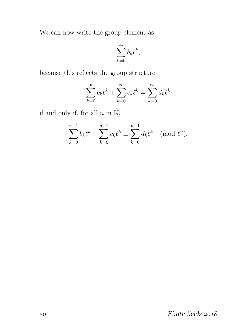We can now write the group element as

$$
\sum_{k=0}^{\infty}b_k\ell^k,
$$

because this reflects the group structure:

$$
\sum_{k=0}^{\infty} b_k \ell^k + \sum_{k=0}^{\infty} c_k \ell^k = \sum_{k=0}^{\infty} d_k \ell^k
$$

if and only if, for all  $n$  in  $\mathbb{N}$ ,

$$
\sum_{k=0}^{n-1} b_k \ell^k + \sum_{k=0}^{n-1} c_k \ell^k \equiv \sum_{k=0}^{n-1} d_k \ell^k \pmod{\ell^n}.
$$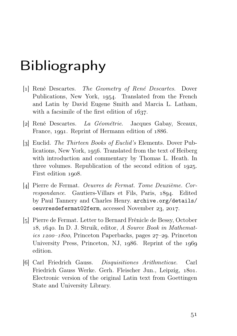# Bibliography

- [1] René Descartes. *The Geometry of René Descartes*. Dover Publications, New York, 1954. Translated from the French and Latin by David Eugene Smith and Marcia L. Latham, with a facsimile of the first edition of  $1637$ .
- [] René Descartes. La Géométrie. Jacques Gabay, Sceaux, France, 1991. Reprint of Hermann edition of 1886.
- [3] Euclid. The Thirteen Books of Euclid's Elements. Dover Publications, New York, 1956. Translated from the text of Heiberg with introduction and commentary by Thomas L. Heath. In three volumes. Republication of the second edition of  $1925$ . First edition 1908.
- [] Pierre de Fermat. Oeuvres de Fermat. Tome Deuxième. Correspondance. Gautiers-Villars et Fils, Paris, 1894. Edited by Paul Tannery and Charles Henry. archive.org/details/ oeuvresdefermat02ferm, accessed November 23, 2017.
- [5] Pierre de Fermat. Letter to Bernard Frénicle de Bessy, October  $18, 1640.$  In D. J. Struik, editor, A Source Book in Mathemat $ics\ 1200-1800$ , Princeton Paperbacks, pages  $27-29$ . Princeton University Press, Princeton, NJ, 1986. Reprint of the 1969 edition.
- [6] Carl Friedrich Gauss. Disquisitiones Arithmeticae. Carl Friedrich Gauss Werke. Gerh. Fleischer Jun., Leipzig, 1801. Electronic version of the original Latin text from Goettingen State and University Library.